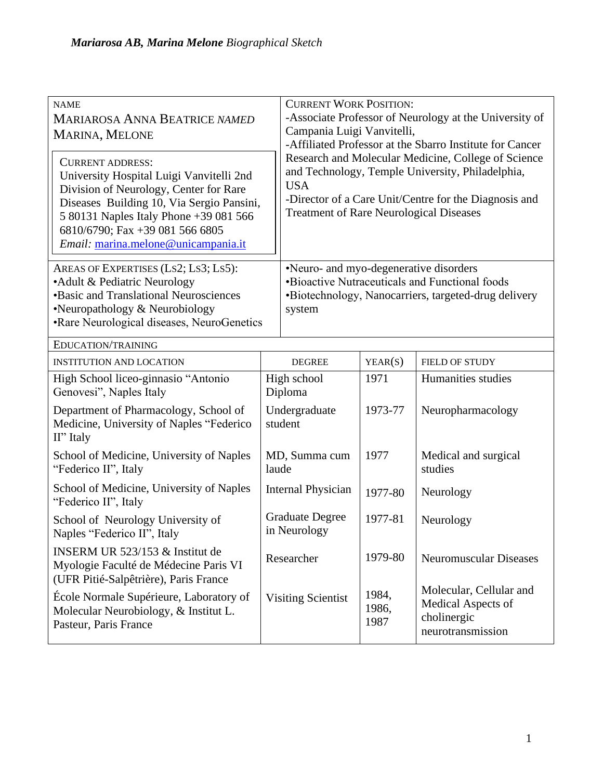| <b>NAME</b><br><b>MARIAROSA ANNA BEATRICE NAMED</b><br>MARINA, MELONE<br><b>CURRENT ADDRESS:</b><br>University Hospital Luigi Vanvitelli 2nd<br>Division of Neurology, Center for Rare<br>Diseases Building 10, Via Sergio Pansini,<br>5 80131 Naples Italy Phone +39 081 566<br>6810/6790; Fax +39 081 566 6805<br>Email: marina.melone@unicampania.it |                                        | <b>CURRENT WORK POSITION:</b><br>-Associate Professor of Neurology at the University of<br>Campania Luigi Vanvitelli,<br>-Affiliated Professor at the Sbarro Institute for Cancer<br>Research and Molecular Medicine, College of Science<br>and Technology, Temple University, Philadelphia,<br><b>USA</b><br>-Director of a Care Unit/Centre for the Diagnosis and<br><b>Treatment of Rare Neurological Diseases</b> |                        |                                                                                   |
|---------------------------------------------------------------------------------------------------------------------------------------------------------------------------------------------------------------------------------------------------------------------------------------------------------------------------------------------------------|----------------------------------------|-----------------------------------------------------------------------------------------------------------------------------------------------------------------------------------------------------------------------------------------------------------------------------------------------------------------------------------------------------------------------------------------------------------------------|------------------------|-----------------------------------------------------------------------------------|
| AREAS OF EXPERTISES (LS2; LS3; LS5):<br>• Adult & Pediatric Neurology<br><b>•Basic and Translational Neurosciences</b><br>•Neuropathology & Neurobiology<br>•Rare Neurological diseases, NeuroGenetics                                                                                                                                                  |                                        | •Neuro- and myo-degenerative disorders<br>•Bioactive Nutraceuticals and Functional foods<br>•Biotechnology, Nanocarriers, targeted-drug delivery<br>system                                                                                                                                                                                                                                                            |                        |                                                                                   |
| EDUCATION/TRAINING                                                                                                                                                                                                                                                                                                                                      |                                        |                                                                                                                                                                                                                                                                                                                                                                                                                       |                        |                                                                                   |
| <b>INSTITUTION AND LOCATION</b>                                                                                                                                                                                                                                                                                                                         | <b>DEGREE</b>                          |                                                                                                                                                                                                                                                                                                                                                                                                                       | YEAR(S)                | FIELD OF STUDY                                                                    |
| High School liceo-ginnasio "Antonio<br>Genovesi", Naples Italy                                                                                                                                                                                                                                                                                          | High school<br>Diploma                 |                                                                                                                                                                                                                                                                                                                                                                                                                       | 1971                   | Humanities studies                                                                |
| Department of Pharmacology, School of<br>Medicine, University of Naples "Federico<br>II" Italy                                                                                                                                                                                                                                                          | Undergraduate<br>student               |                                                                                                                                                                                                                                                                                                                                                                                                                       | 1973-77                | Neuropharmacology                                                                 |
| School of Medicine, University of Naples<br>"Federico II", Italy                                                                                                                                                                                                                                                                                        | MD, Summa cum<br>laude                 |                                                                                                                                                                                                                                                                                                                                                                                                                       | 1977                   | Medical and surgical<br>studies                                                   |
| School of Medicine, University of Naples<br>"Federico II", Italy                                                                                                                                                                                                                                                                                        | <b>Internal Physician</b>              |                                                                                                                                                                                                                                                                                                                                                                                                                       | 1977-80                | Neurology                                                                         |
| School of Neurology University of<br>Naples "Federico II", Italy                                                                                                                                                                                                                                                                                        | <b>Graduate Degree</b><br>in Neurology |                                                                                                                                                                                                                                                                                                                                                                                                                       | 1977-81                | Neurology                                                                         |
| INSERM UR 523/153 & Institut de<br>Myologie Faculté de Médecine Paris VI<br>(UFR Pitié-Salpêtrière), Paris France                                                                                                                                                                                                                                       | Researcher                             |                                                                                                                                                                                                                                                                                                                                                                                                                       | 1979-80                | <b>Neuromuscular Diseases</b>                                                     |
| École Normale Supérieure, Laboratory of<br>Molecular Neurobiology, & Institut L.<br>Pasteur, Paris France                                                                                                                                                                                                                                               | <b>Visiting Scientist</b>              |                                                                                                                                                                                                                                                                                                                                                                                                                       | 1984,<br>1986,<br>1987 | Molecular, Cellular and<br>Medical Aspects of<br>cholinergic<br>neurotransmission |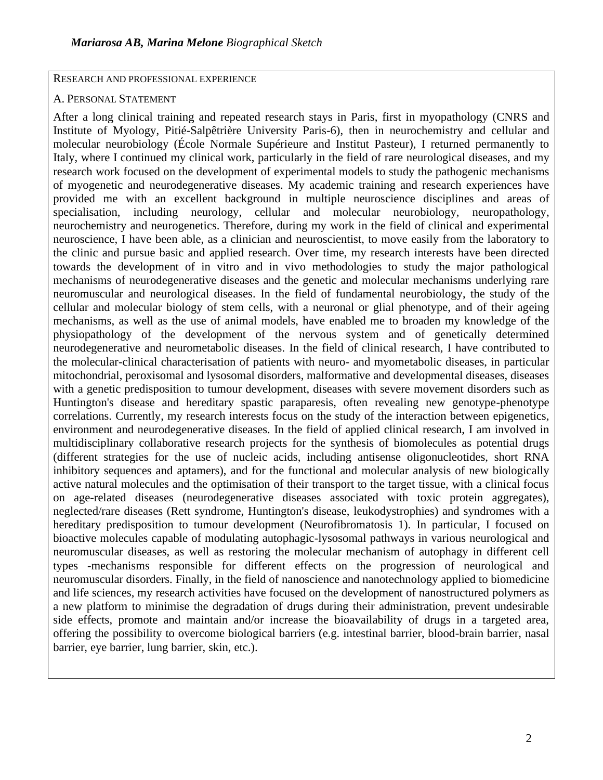RESEARCH AND PROFESSIONAL EXPERIENCE

## A. PERSONAL STATEMENT

After a long clinical training and repeated research stays in Paris, first in myopathology (CNRS and Institute of Myology, Pitié-Salpêtrière University Paris-6), then in neurochemistry and cellular and molecular neurobiology (École Normale Supérieure and Institut Pasteur), I returned permanently to Italy, where I continued my clinical work, particularly in the field of rare neurological diseases, and my research work focused on the development of experimental models to study the pathogenic mechanisms of myogenetic and neurodegenerative diseases. My academic training and research experiences have provided me with an excellent background in multiple neuroscience disciplines and areas of specialisation, including neurology, cellular and molecular neurobiology, neuropathology, neurochemistry and neurogenetics. Therefore, during my work in the field of clinical and experimental neuroscience, I have been able, as a clinician and neuroscientist, to move easily from the laboratory to the clinic and pursue basic and applied research. Over time, my research interests have been directed towards the development of in vitro and in vivo methodologies to study the major pathological mechanisms of neurodegenerative diseases and the genetic and molecular mechanisms underlying rare neuromuscular and neurological diseases. In the field of fundamental neurobiology, the study of the cellular and molecular biology of stem cells, with a neuronal or glial phenotype, and of their ageing mechanisms, as well as the use of animal models, have enabled me to broaden my knowledge of the physiopathology of the development of the nervous system and of genetically determined neurodegenerative and neurometabolic diseases. In the field of clinical research, I have contributed to the molecular-clinical characterisation of patients with neuro- and myometabolic diseases, in particular mitochondrial, peroxisomal and lysosomal disorders, malformative and developmental diseases, diseases with a genetic predisposition to tumour development, diseases with severe movement disorders such as Huntington's disease and hereditary spastic paraparesis, often revealing new genotype-phenotype correlations. Currently, my research interests focus on the study of the interaction between epigenetics, environment and neurodegenerative diseases. In the field of applied clinical research, I am involved in multidisciplinary collaborative research projects for the synthesis of biomolecules as potential drugs (different strategies for the use of nucleic acids, including antisense oligonucleotides, short RNA inhibitory sequences and aptamers), and for the functional and molecular analysis of new biologically active natural molecules and the optimisation of their transport to the target tissue, with a clinical focus on age-related diseases (neurodegenerative diseases associated with toxic protein aggregates), neglected/rare diseases (Rett syndrome, Huntington's disease, leukodystrophies) and syndromes with a hereditary predisposition to tumour development (Neurofibromatosis 1). In particular, I focused on bioactive molecules capable of modulating autophagic-lysosomal pathways in various neurological and neuromuscular diseases, as well as restoring the molecular mechanism of autophagy in different cell types -mechanisms responsible for different effects on the progression of neurological and neuromuscular disorders. Finally, in the field of nanoscience and nanotechnology applied to biomedicine and life sciences, my research activities have focused on the development of nanostructured polymers as a new platform to minimise the degradation of drugs during their administration, prevent undesirable side effects, promote and maintain and/or increase the bioavailability of drugs in a targeted area, offering the possibility to overcome biological barriers (e.g. intestinal barrier, blood-brain barrier, nasal barrier, eye barrier, lung barrier, skin, etc.).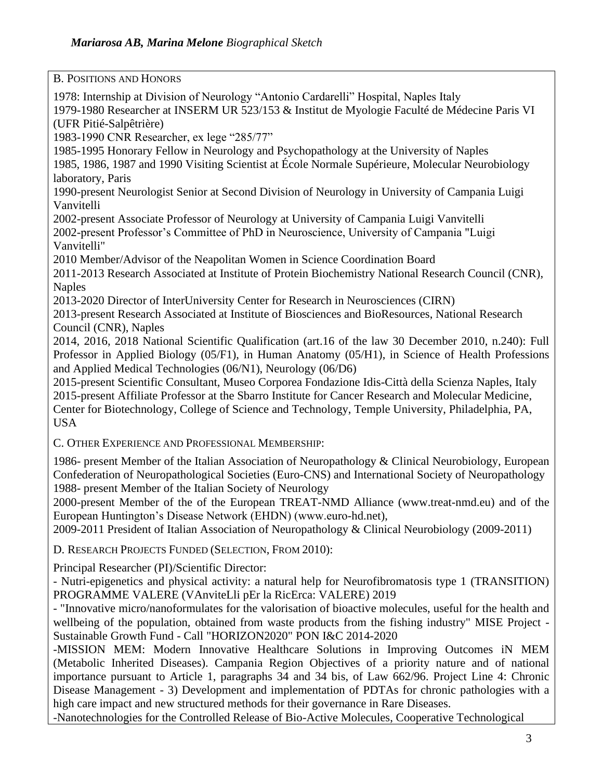B. POSITIONS AND HONORS 1978: Internship at Division of Neurology "Antonio Cardarelli" Hospital, Naples Italy 1979-1980 Researcher at INSERM UR 523/153 & Institut de Myologie Faculté de Médecine Paris VI (UFR Pitié-Salpêtrière) 1983-1990 CNR Researcher, ex lege "285/77" 1985-1995 Honorary Fellow in Neurology and Psychopathology at the University of Naples 1985, 1986, 1987 and 1990 Visiting Scientist at École Normale Supérieure, Molecular Neurobiology laboratory, Paris 1990-present Neurologist Senior at Second Division of Neurology in University of Campania Luigi Vanvitelli 2002-present Associate Professor of Neurology at University of Campania Luigi Vanvitelli 2002-present Professor's Committee of PhD in Neuroscience, University of Campania "Luigi Vanvitelli" 2010 Member/Advisor of the Neapolitan Women in Science Coordination Board 2011-2013 Research Associated at Institute of Protein Biochemistry National Research Council (CNR), Naples 2013-2020 Director of InterUniversity Center for Research in Neurosciences (CIRN) 2013-present Research Associated at Institute of Biosciences and BioResources, National Research Council (CNR), Naples 2014, 2016, 2018 National Scientific Qualification (art.16 of the law 30 December 2010, n.240): Full Professor in Applied Biology (05/F1), in Human Anatomy (05/H1), in Science of Health Professions and Applied Medical Technologies (06/N1), Neurology (06/D6) 2015-present Scientific Consultant, Museo Corporea Fondazione Idis-Città della Scienza Naples, Italy 2015-present Affiliate Professor at the Sbarro Institute for Cancer Research and Molecular Medicine, Center for Biotechnology, College of Science and Technology, Temple University, Philadelphia, PA, USA C. OTHER EXPERIENCE AND PROFESSIONAL MEMBERSHIP: 1986- present Member of the Italian Association of Neuropathology & Clinical Neurobiology, European Confederation of Neuropathological Societies (Euro-CNS) and International Society of Neuropathology 1988- present Member of the Italian Society of Neurology 2000-present Member of the of the European TREAT-NMD Alliance (www.treat-nmd.eu) and of the European Huntington's Disease Network (EHDN) (www.euro-hd.net), 2009-2011 President of Italian Association of Neuropathology & Clinical Neurobiology (2009-2011) D. RESEARCH PROJECTS FUNDED (SELECTION, FROM 2010): Principal Researcher (PI)/Scientific Director: - Nutri-epigenetics and physical activity: a natural help for Neurofibromatosis type 1 (TRANSITION) PROGRAMME VALERE (VAnviteLli pEr la RicErca: VALERE) 2019 - "Innovative micro/nanoformulates for the valorisation of bioactive molecules, useful for the health and wellbeing of the population, obtained from waste products from the fishing industry" MISE Project - Sustainable Growth Fund - Call "HORIZON2020" PON I&C 2014-2020 -MISSION MEM: Modern Innovative Healthcare Solutions in Improving Outcomes iN MEM

(Metabolic Inherited Diseases). Campania Region Objectives of a priority nature and of national importance pursuant to Article 1, paragraphs 34 and 34 bis, of Law 662/96. Project Line 4: Chronic Disease Management - 3) Development and implementation of PDTAs for chronic pathologies with a high care impact and new structured methods for their governance in Rare Diseases.

-Nanotechnologies for the Controlled Release of Bio-Active Molecules, Cooperative Technological